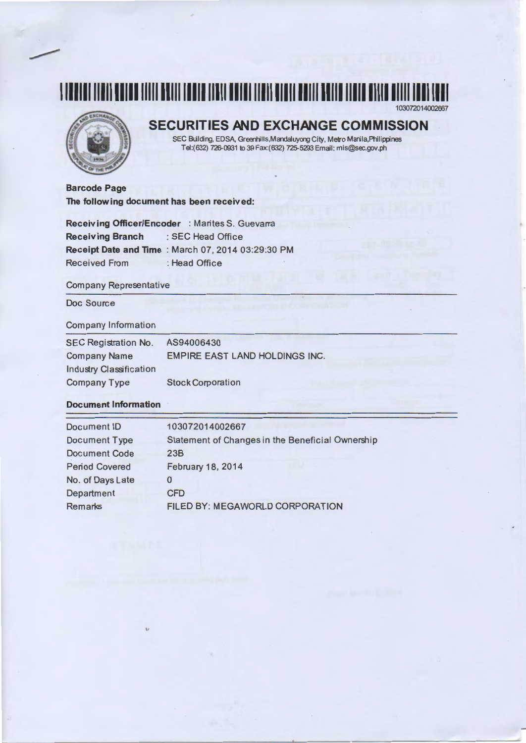## **1111111111111111111111111111111111111111111111111111111111111111111111111111111111111**  103072014002667



## **SECURITIES AND EXCHANGE COMMISSION**

SEC Building, EDSA, Greenhills,Mardaluyong City, Metro Manila,Philippines Te1:(632) 726-0931 to 39 Fax:(632) 725-5293 Email: mis@sec.gov.ph

**Barcode Page The following document has been received:** 

**Receiving Officer/Encoder** : Marites S. Guevarra **Receiving Branch** :SEC Head Office **Receipt Date and Time : March 07, 2014 03:29:30 PM** Received From : Head Office

## Company Representative

Doc Source

## Company Information

| <b>SEC Registration No.</b> | AS94006430                            |
|-----------------------------|---------------------------------------|
| <b>Company Name</b>         | <b>EMPIRE EAST LAND HOLDINGS INC.</b> |
| Industry Classification     |                                       |
| <b>Company Type</b>         | <b>Stock Corporation</b>              |

## **Document Information**

| 103072014002667                                  |
|--------------------------------------------------|
| Statement of Changes in the Beneficial Ownership |
| 23B                                              |
| February 18, 2014                                |
| 0                                                |
| <b>CFD</b>                                       |
| FILED BY: MEGAWORLD CORPORATION                  |
|                                                  |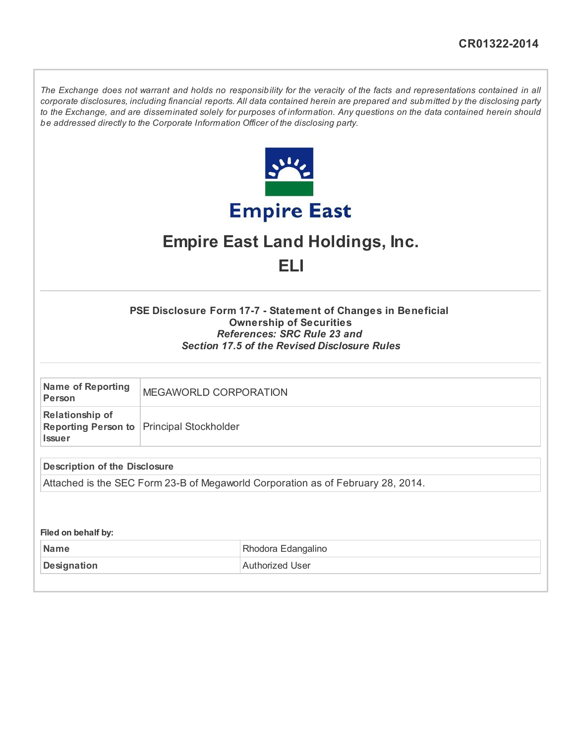The Exchange does not warrant and holds no responsibility for the veracity of the facts and representations contained in all corporate disclosures, including financial reports. All data contained herein are prepared and submitted by the disclosing party to the Exchange, and are disseminated solely for purposes of information. Any questions on the data contained herein should be addressed directly to the Corporate Information Officer of the disclosing party.



# Empire East Land Holdings, Inc.

ELI

## PSE Disclosure Form 17-7 - Statement of Changes in Beneficial Ownership of Securities References: SRC Rule 23 and Section 17.5 of the Revised Disclosure Rules

| Name of Reporting<br>Person             | MEGAWORLD CORPORATION                     |
|-----------------------------------------|-------------------------------------------|
| <b>Relationship of</b><br><b>Issuer</b> | Reporting Person to Principal Stockholder |
| <b>Description of the Disclosure</b>    |                                           |

Attached is the SEC Form 23-B of Megaworld Corporation as of February 28, 2014.

Filed on behalf by:

| <b>⊥Name</b> | Rhodora Edangalino |  |  |  |  |  |
|--------------|--------------------|--|--|--|--|--|
| Designation  | Authorized User    |  |  |  |  |  |
|              |                    |  |  |  |  |  |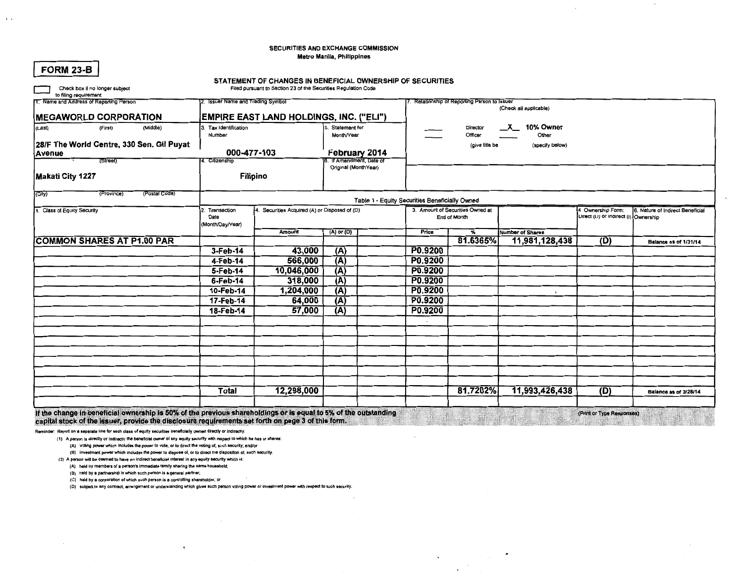### SECURITIES AND EXCHANGE COMMISSION Metro Manila, Philippines

| <b>FORM 23-B</b>                                                                                                |                                           |                                   | STATEMENT OF CHANGES IN BENEFICIAL OWNERSHIP OF SECURITIES     |                                                  |                |                                                |                                            |                         |                                      |                                  |
|-----------------------------------------------------------------------------------------------------------------|-------------------------------------------|-----------------------------------|----------------------------------------------------------------|--------------------------------------------------|----------------|------------------------------------------------|--------------------------------------------|-------------------------|--------------------------------------|----------------------------------|
| Check box if no longer subject                                                                                  |                                           |                                   | Filed pursuant to Section 23 of the Securities Regulation Code |                                                  |                |                                                |                                            |                         |                                      |                                  |
| to filing requirement<br>1. Name and Address of Reporting Person                                                |                                           | 2. Issuer Name and Trading Symbol |                                                                |                                                  |                |                                                | Relationship of Reporting Person to Issuer |                         |                                      |                                  |
|                                                                                                                 |                                           |                                   |                                                                |                                                  |                |                                                |                                            | (Check all applicable)  |                                      |                                  |
|                                                                                                                 | <b>MEGAWORLD CORPORATION</b>              |                                   | <b>EMPIRE EAST LAND HOLDINGS, INC. ("ELI")</b>                 |                                                  |                |                                                |                                            |                         |                                      |                                  |
| (Last)                                                                                                          | (First)<br>(Middle)                       | 3. Tax Identification<br>Number   |                                                                | Statement for<br>Month/Year                      |                |                                                | Director<br>Officer                        | X 10% Owner<br>Other    |                                      |                                  |
|                                                                                                                 | 28/F The World Centre, 330 Sen. Gil Puyat |                                   |                                                                |                                                  | (give title be |                                                | (specify below)                            |                         |                                      |                                  |
| <b>Avenue</b>                                                                                                   |                                           | 000-477-103                       |                                                                | February 2014                                    |                |                                                |                                            |                         |                                      |                                  |
|                                                                                                                 | (Street)                                  | 4. Citizenship                    |                                                                | 6. If Amendment, Date of<br>Original (MonthYear) |                |                                                |                                            |                         |                                      |                                  |
| Makati City 1227                                                                                                |                                           |                                   | Filipino                                                       |                                                  |                |                                                |                                            |                         |                                      |                                  |
|                                                                                                                 |                                           |                                   |                                                                |                                                  |                |                                                |                                            |                         |                                      |                                  |
| (City)                                                                                                          | (Postal Code)<br>(Province)               |                                   |                                                                |                                                  |                | Table 1 - Equity Securities Beneficially Owned |                                            |                         |                                      |                                  |
| 1. Class of Equity Security                                                                                     |                                           | Transaction                       | 4. Securities Acquired (A) or Disposed of (D)                  |                                                  |                |                                                | 3. Amount of Securities Owned at           |                         | 4 Ownership Form:                    | 6. Nature of Indirect Beneficial |
|                                                                                                                 |                                           | Date                              |                                                                | (A) or (D)                                       |                |                                                | End of Month                               |                         | Uirect (U) or indirect (I) Ownership |                                  |
|                                                                                                                 |                                           | (Month/Day/Year)                  | Amount                                                         |                                                  |                | Price                                          | %                                          | <b>Number of Shares</b> |                                      |                                  |
|                                                                                                                 | <b>COMMON SHARES AT P1.00 PAR</b>         |                                   |                                                                |                                                  |                |                                                | 81.6365%                                   | 11,981,128,438          | (D)                                  | Balance as of 1/31/14            |
|                                                                                                                 |                                           | 3-Feb-14                          | 43,000                                                         | (A)                                              |                | P0.9200                                        |                                            |                         |                                      |                                  |
|                                                                                                                 |                                           | 4-Feb-14                          | 566,000                                                        | (A)                                              |                | P0.9200                                        |                                            |                         |                                      |                                  |
|                                                                                                                 |                                           | 5-Feb-14                          | 10,046,000                                                     | (A)                                              |                | P0.9200                                        |                                            |                         |                                      |                                  |
|                                                                                                                 |                                           | 6-Feb-14                          | 318,000                                                        | (A)                                              |                | P0.9200                                        |                                            |                         |                                      |                                  |
|                                                                                                                 |                                           | 10-Feb-14                         | 1,204,000                                                      | $\overline{(A)}$                                 |                | P0.9200                                        |                                            | $\overline{ }$          |                                      |                                  |
|                                                                                                                 |                                           | 17-Feb-14                         | 64,000                                                         | (A)                                              |                | P0.9200                                        |                                            |                         |                                      |                                  |
|                                                                                                                 |                                           | 18-Feb-14                         | 57,000                                                         | (A)                                              |                | P0.9200                                        |                                            |                         |                                      |                                  |
|                                                                                                                 |                                           |                                   |                                                                |                                                  |                |                                                |                                            |                         |                                      |                                  |
|                                                                                                                 |                                           |                                   |                                                                |                                                  |                |                                                |                                            |                         |                                      |                                  |
|                                                                                                                 |                                           |                                   |                                                                |                                                  |                |                                                |                                            |                         |                                      |                                  |
|                                                                                                                 |                                           |                                   |                                                                |                                                  |                |                                                |                                            |                         |                                      |                                  |
|                                                                                                                 |                                           |                                   |                                                                |                                                  |                |                                                |                                            |                         |                                      |                                  |
|                                                                                                                 |                                           |                                   |                                                                |                                                  |                |                                                |                                            |                         |                                      |                                  |
|                                                                                                                 |                                           |                                   |                                                                |                                                  |                |                                                |                                            |                         |                                      |                                  |
|                                                                                                                 |                                           | Total                             | 12,298,000                                                     |                                                  |                |                                                | 81.7202%                                   | 11,993,426,438          | (D)                                  | <b>Balance as of 2/28/14</b>     |
|                                                                                                                 |                                           |                                   |                                                                |                                                  |                |                                                |                                            |                         |                                      |                                  |
| If the change in beneficial ownership is 50% of the previous shareholdings or is equal to 5% of the outstanding |                                           |                                   |                                                                |                                                  |                |                                                |                                            | HARKER TING             | (Print or Type Responses)            |                                  |

Reminder: Report on a separate line for each class of equity securities beneficially owned directly or indirectly.

(1) A person is directly or indirectly the beneficial owner of any equity security with respect to which he has or shares:

capital stock of the issuer, provide the disclosure requirements set forth on page 3 of this form.

(A) Voting power which includes the power to vote, or to direct the voting of, such security; and/or

(B) investment power which includes the power to dispose of, or to direct the disposition of, such security.

 $\bullet$ 

(2) A person will be deemed to have an indirect beneficial interest in any equity security which is:

(A) held by members of a person's immediate family sharing the same household;

(B) held by a partnership in which such person is a general partner;

(C) held by a corporation of which such person is a controlling shareholder; or

(D) subject to any contract, arrangement or understanding which gives such person voting power or investment power with respect to such security.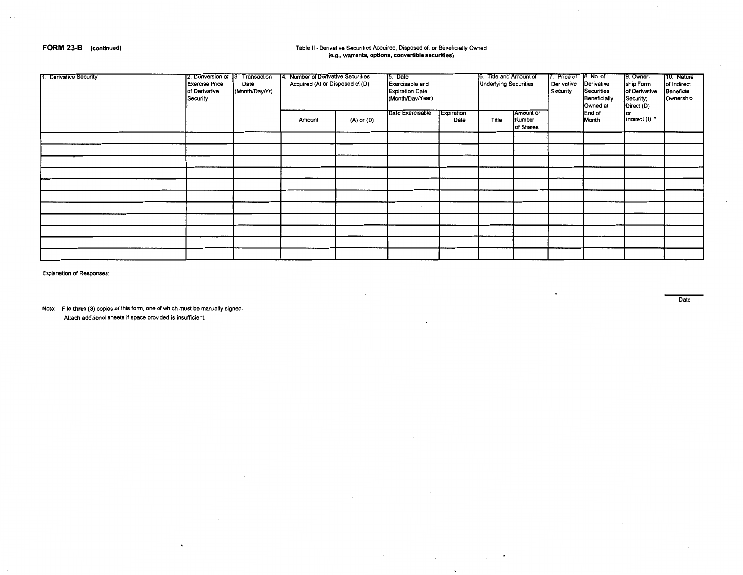### **FORM 23-B (continued)**

 $\sqrt{ }$ 

## Table II- Derivative Securities Acquired, Disposed of, or Beneficially Owned **(e.g., warrants, options, convertible securities)**

| 1. Derivative Security | 2. Conversion or 13. Transaction<br><b>Exercise Price</b><br>of Derivative<br>Security | Date<br>(Month/Day/Yr) | 14. Number of Derivative Securities<br>Acquired (A) or Disposed of (D) |            | 15. Date<br>Exercisable and<br><b>Expiration Date</b><br>(Month/Day/Year) | 6. Title and Amount of<br><b>Underlying Securities</b> |       | 7. Price of 8. No. of<br>Derivative<br>Security | Derivative<br>Securities<br>Beneficially<br>Owned at | 9. Owner-<br>ship Form<br>of Derivative<br>Security;<br>Direct (D) | 10. Nature<br>of Indirect<br>Beneficial<br>Ownership |  |
|------------------------|----------------------------------------------------------------------------------------|------------------------|------------------------------------------------------------------------|------------|---------------------------------------------------------------------------|--------------------------------------------------------|-------|-------------------------------------------------|------------------------------------------------------|--------------------------------------------------------------------|------------------------------------------------------|--|
|                        |                                                                                        |                        | Amount                                                                 | (A) or (D) | Date Exercisable                                                          | Expiration<br>Date                                     | Title | <b>Amount or</b><br>Number<br>of Shares         |                                                      | End of<br>Month                                                    | lor<br>Indirect (i) *                                |  |
|                        |                                                                                        |                        |                                                                        |            |                                                                           |                                                        |       |                                                 |                                                      |                                                                    |                                                      |  |
|                        |                                                                                        |                        |                                                                        |            |                                                                           |                                                        |       |                                                 |                                                      |                                                                    |                                                      |  |
|                        |                                                                                        |                        |                                                                        |            |                                                                           |                                                        |       |                                                 |                                                      |                                                                    |                                                      |  |
|                        |                                                                                        |                        |                                                                        |            |                                                                           |                                                        |       |                                                 |                                                      |                                                                    |                                                      |  |
|                        |                                                                                        |                        |                                                                        |            |                                                                           |                                                        |       |                                                 |                                                      |                                                                    |                                                      |  |
|                        |                                                                                        |                        |                                                                        |            |                                                                           |                                                        |       |                                                 |                                                      |                                                                    |                                                      |  |
|                        |                                                                                        |                        |                                                                        |            |                                                                           |                                                        |       |                                                 |                                                      |                                                                    |                                                      |  |
|                        |                                                                                        |                        |                                                                        |            |                                                                           |                                                        |       |                                                 |                                                      |                                                                    |                                                      |  |
|                        |                                                                                        |                        |                                                                        |            |                                                                           |                                                        |       |                                                 |                                                      |                                                                    |                                                      |  |
|                        |                                                                                        |                        |                                                                        |            |                                                                           |                                                        |       |                                                 |                                                      |                                                                    |                                                      |  |
|                        |                                                                                        |                        |                                                                        |            |                                                                           |                                                        |       |                                                 |                                                      |                                                                    |                                                      |  |

٠.

 $\sim 10$ 

Explanation of Responses:

Note: File **three (3)** copies of this form, one of which must be manually signed. Attach additional sheets if space provided is insufficient.

 $\bullet$ 

Date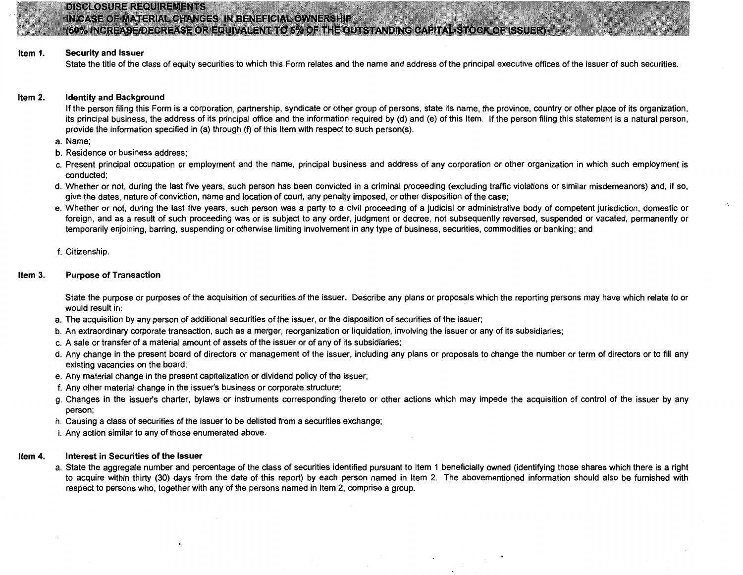

## **DISCLOSURE REQUIREMENTS** IN CASE OF MATERIAL CHANGES IN BENEFICIAL OWNERSHIP

## (50% INCREASE/DECREASE OR EQUIVALENT TO 5% OF THE OUTSTANDING CAPITAL STOCK OF ISSUER)

#### Item 1. Security and Issuer

State the title of the class of equity securities to which this Form relates and the name and address of the principal executive offices of the issuer of such securities.

#### Item 2. Identity and Background

If the person filing this Form is a corporation, partnership, syndicate or other group of persons, state its name, the province, country or other place of its organization, its principal business, the address of its principal office and the information required by (d) and (e) of this Item. If the person filing this statement is a natural person, provide the information specified in (a) through (f) of this Item with respect to such person(s).

- a. Name;
- b. Residence or business address;
- c. Present principal occupation or employment and the name, principal business and address of any corporation or other organization in which such employment is conducted;
- d. Whether or not, during the last five years, such person has been convicted in a criminal proceeding (excluding traffic violations or similar misdemeanors) and, if so, give the dates, nature of conviction, name and location of court, any penalty imposed, or other disposition of the case;
- e. Whether or not, during the last five years, such person was a party to a civil proceeding of a judicial or administrative body of competent jurisdiction, domestic or foreign, and as a result of such proceeding was or is subject to any order, judgment or decree, not subsequently reversed, suspended or vacated, permanently or temporarily enjoining, barring, suspending or otherwise limiting involvement in any type of business, securities, commodities or banking; and
- f. Citizenship.

### Item 3. Purpose of Transaction

State the purpose or purposes of the acquisition of securities of the issuer. Describe any plans or proposals which the reporting persons may have which relate to or would result in:

- a. The acquisition by any person of additional securities of the issuer, or the disposition of securities of the issuer;
- b. An extraordinary corporate transaction, such as a merger, reorganization or liquidation, involving the issuer or any of its subsidiaries;
- c. A sale or transfer of a material amount of assets of the issuer or of any of its subsidiaries;
- d. Any change in the present board of directors or management of the issuer, including any plans or proposals to change the number or term of directors or to fill any existing vacancies on the board;
- e. Any material change in the present capitalization or dividend policy of the issuer;
- f. Any other material change in the issuer's business or corporate structure;
- g. Changes in the issuer's charter, bylaws or instruments corresponding thereto or other actions which may impede the acquisition of control of the issuer by any person;
- h. Causing a class of securities of the issuer to be delisted from a securities exchange;
- i. Any action similar to any of those enumerated above.

#### Item 4. Interest in Securities of the Issuer

a. State the aggregate number and percentage of the class of securities identified pursuant to Item 1 beneficially owned (identifying those shares which there is a right to acquire within thirty (30) days from the date of this report) by each person named in Item 2. The abovementioned information should also be furnished with respect to persons who, together with any of the persons named in Item 2, comprise a group.